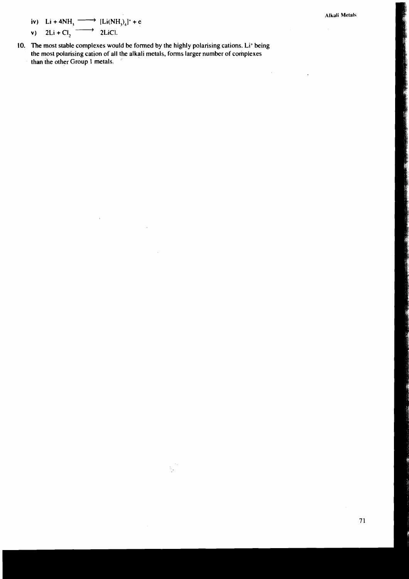**Alkali Metals** 

 $\frac{1}{2}$ 

**iv**) **Li** + **4NH**,  $\xrightarrow{\longrightarrow}$   $[Li(NH_1)_4]^+ + e$ <br> **v**) **2Li** + **Cl**<sub>2</sub>  $\xrightarrow{\longrightarrow}$  **2LiCl. iv) Li** + **4NH**<sub>3</sub>  $\xrightarrow{\longrightarrow}$  [Li(NH<sub>3</sub>)<sub>4</sub><br> **v**) **2Li** + Cl<sub>2</sub>  $\xrightarrow{\longrightarrow}$  **2LiCl.**<br>
The most stable complexes would be

- 
- **10. The most stable complexes would be formed by the highly polarising cations. Li' being the most polarising cation of all the alkali metals, forms larger number of complexes than the other Group 1 metals.**

Ą.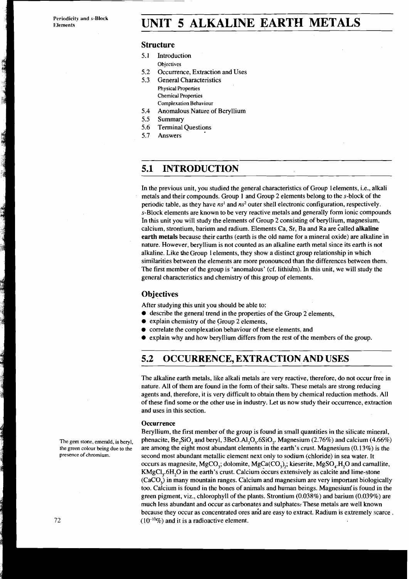**Periodicity and s-Block** 

## Periodicity and s-Block **UNIT 5 ALKALINE EARTH METALS**

### **Structure**

- 5.1 Introduction
	- **Objectives**
- 5.2 Occurrence, Extraction and Uses<br>5.3 General Characteristics
	- 5.3 General Characteristics **Physical Properties Chemical Properties Complexation Behaviour**
- 5.4 Anomalous Nature of Beryllium<br>5.5 Summary
- **Summary**
- 5.6 Terminal Questions
- 5.7 Answers

### **5.1 INTRODUCTION**

In the previous unit, you studied the general characteristics of Group lelements, i.e., alkali metals and their compounds. Group 1 and Group 2 elements belong to the s-block of the periodic table, as they have  $ns<sup>1</sup>$  and  $ns<sup>2</sup>$  outer shell electronic configuration, respectively. s-Block elements are known to be very reactive metals and generally form ionic compounds In this unit you will study the elements of Group 2 consisting of beryllium, magnesium, calcium, strontium, barium and radium. Elements Ca, Sr, Ba and Ra are called alkaline earth metals because their earths (earth is the old name for a mineral oxide) are alkaline'in nature. However, beryllium is not counted as an alkaline earth metal since its earth is not alkaline. Like the Group 1 elements, they show a distinct group relationship in which similarities between the elements are more pronounced than the differences between them. The first member of the group is 'anomalous' (cf. lithiu'm). In this unit, we will study the general characteristics and chemistry of this group of elements.

### **Objectives**

After studying this unit you should be able to:

- $\bullet$  describe the general trend in the properties of the Group 2 elements,
- explain chemistry of the Group 2 elements,
- $\bullet$ correlate the complexation behaviour of these elements, and
- explain why and how beryllium differs from the rest of the members of the group.

### **5.2 OCCURRENCE, EXTRACTION AND USES**

The alkaline earth metals, like alkali metals are very reactive, therefore, do not occur free in nature. All of them are found in the form of their salts. These metals are strong reducing agents and, therefore, it is very difficult to obtain them by chemical reduction methods. All of these find some or the other use in industry. Let us now study their occurrence, extraction and uses in this section.

#### **Occurrence**

Beryllium, the first member of the group is found in small quantities in the silicate mineral, The gem stone, emerald, is beryl, phenacite, Be<sub>2</sub>SiO<sub>4</sub> and beryl, 3BeO.A1<sub>2</sub>O<sub>3</sub>.6SiO<sub>2</sub>. Magnesium (2.76%) and calcium (4.66%) **the green colour bang due to the** are among the eight most abundant elements in the earth's crust. Magnesium (0.13%) is the **presence of chromium.** second most abundant metallic element next only to sodium (chloride) in sea water. It occurs as magnesite,  $MgCO<sub>3</sub>$ ; dolomite,  $MgCa(CO<sub>3</sub>)$ ; kieserite,  $MgSO<sub>4</sub>$ .H<sub>rri</sub>O and camallite, KMgCl<sub>3</sub>.6H<sub>2</sub>O in the earth's crust. Calcium occurs extensively as calcite and lime-stone (CaCO,) in many mountain ranges. Calcium and magnesium are very important biologically too. Calcium is found in the bones of animals and human beings. Magnesium is found in the green pigment, viz., chlorophyll of the plants. Strontium (0.038%) and barium (0.039%) are much less abundant and occur as carbonates and sulphates: These metals are well known because they occur as concentrated ores and are easy to extract. Radium is extremely scarce.  $(10^{-10}\%)$  and it is a radioactive element.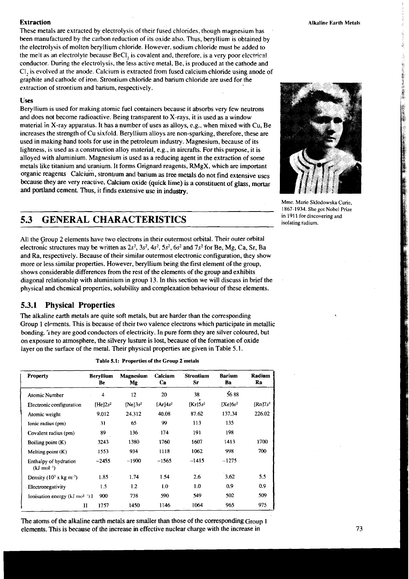These metals are extracted by electrolysis of their fused chlorides, though magnesium has , been manufactured by the carbon reduction of its oxide also. Thus, beryllium is obtained by the electrolysis of molten beryllium chloride. However, sodium chloride must be added to the melt as an electrolyte because BeCl, is covalent and, therefore, is a very poor electrica! conductor. During the electrolysis, the less active metal, Be, is produced at the cathode and Cl, is evolved at the anode. Calcium is extracted from fused calcium chloride using anode of and cathode of iron. Strontium chloride and barium chloride are used for the extraction of strontium and barium, respectively.

#### **Uses**

Beryllium is used for making atomic fuel containers because it absorbs very few neutrons and does not become radioactive. Being transparent to X-rays, it is used as a window material in X-ray apparatus. It has a number of uses as alloys, e.g., when mixed with Cu, Be increases the strength of Cu sixfold. Beryllium alloys are non-sparking, therefore, these are used in making hand tools for use in the petroleum industry. Magnesium, because of its lightness, is used as a construction alloy material, e.g., in aircrafts. For this purpose, it is alloyed with aluminium. Magnesium is used as a reducing agent in the extraction of some metals like titanium and uranium. It forms Grignard reagents, RMgX, which are important organic reagents calcium, stronuum and barium as tree metals do not find extensive uses because they are very reactive. Calcium oxide (quick lime) is a constituent of glass, mortar and portland cement. Thus, it finds extensive use in industry.

### **5.3 GENERAL CHARACTERISTICS in 1911 for discovering radium.**

All the Group 2 elements have two electrons in their outermost orbital. Their outer orbital electronic structures may be written as  $2s^2$ ,  $3s^2$ ,  $4s^2$ ,  $5s^2$ ,  $6s^2$  and  $7s^2$  for Be, Mg, Ca, Sr, Ba and Ra, respectively. Because of their similar outermost electronic configuration, they show more or less similar properties. However, beryllium being the first element of the group, shows considerable differences from the rest of the elements of the group and exhibits diagonal relationship with aluminium in group 13. In this section we will discuss in brief the physical and chemical properties, solubility and complexation behaviour of these elements.

### **5.3.1 Physical Properties**

The alkaline earth metals are quite soft metals, but are harder than the corresponding Group 1 elements. This is because of their two valence electrons which participate in metallic bonding. i hey are good conductors of electricity. In pure form they are silver coloured, but on exposure to atmosphere, the silvery lusture is lost, because of the formation of oxide layer on the surface of the metal. Their physical properties are given in Table 5.1.

| Property                                         | <b>Beryllium</b><br>Be | <b>Magnesium</b><br>Mg | Calcium<br>Ca                    | Strontium<br>Sr         | <b>Barium</b><br>Ba    | Radium<br>Ra |
|--------------------------------------------------|------------------------|------------------------|----------------------------------|-------------------------|------------------------|--------------|
| Atomic Number                                    | 4                      | 12                     | 20                               | 38                      | 5688                   |              |
| Electronic configuration                         | $[He]2s^2$             | $[Ne]3s^2$             | [A <sub>I</sub> ]4s <sup>2</sup> | $[K_I]$ 5s <sup>2</sup> | $[Xe]$ 6s <sup>2</sup> | $[Rn]7s^2$   |
| Atomic weight                                    | 9.012                  | 24.312                 | 40.08                            | 87.62                   | 137.34                 | 226.02       |
| Ionic radius (pm)                                | 31                     | 65                     | 99                               | 113                     | 135                    |              |
| Covalent radius (pm)                             | 89                     | 136                    | 174                              | 191                     | 198                    |              |
| Boiling point $(K)$                              | 3243                   | 1380                   | 1760                             | 1607                    | 1413                   | 1700         |
| Melting point $(K)$                              | 1553                   | 934                    | 1118                             | 1062                    | 998                    | 700          |
| Enthalpy of hydration<br>$(kJ \text{ mol}^{-1})$ | $-2455$                | $-1900$                | $-1565$                          | $-1415$                 | $-1275$                |              |
| Density $(103 x kg m-3)$                         | $1.85 -$               | 1.74                   | 1.54                             | 2.6                     | 3.62                   | 5.5          |
| Electronegativity                                | 1.5                    | 1.2                    | 1.0                              | 1.0                     | 0.9                    | 0.9          |
| Ionisation energy $(kJ \text{ mol}^{-1})$ I      | 900                    | 738                    | 590                              | 549                     | 502                    | 509          |
|                                                  | 1757<br>Н              | 1450                   | 1146                             | 1064                    | 965                    | 975          |

**Table 5.1: Properties of the Group 2 metals** 

The atoms of the alkaline earth metals are smaller than those of the corresponding Group **1**  elements. This is because of the increase in effective nuclear charge with the increase in



Mme. Marie Sklodowska Curie, 1867-1934. She got Nobel Prize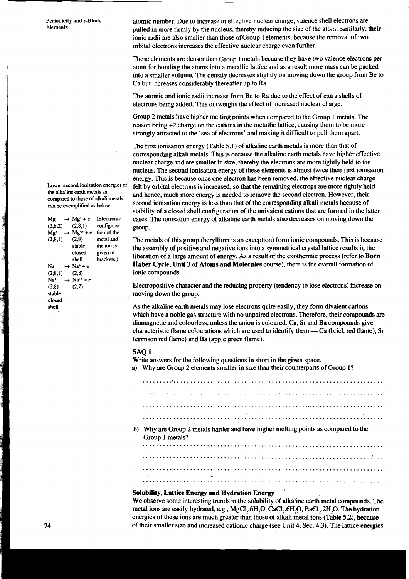**Lower second ionisation energies of the alkaline earth metals as compared to those of alkali metals can be exemplified as below:** 

**Mg**  $\rightarrow$  **Mg<sup>+</sup>** + **e** (Electronic  $(2,8,2)$   $(2,8,1)$  configuraconfigura- $Mg^+ \rightarrow Mg^{++} + e$  **tion of the**<br>(2,8,1) (2,8) metal and **(2.8.1) (2,8) metal and**  stable the ion is<br>
closed given in **closed given in**  brackets.)  $Na \rightarrow Na^+ + e$ (2,8,1) (2,8)<br>Na<sup>+</sup> → Na<sup>++</sup>  $Na^+$   $\rightarrow Na^{++} + e$ <br>(2,8) (2.7)  $(2,7)$ **stable closed shell** 

a state of the state of the state of the state of the state of the state of the state of the state of the state of the state of the state of the state of the state of the state of the state of the state of the state of the

**Periodicity and s-Block atomic number.** Due to increase in effective nuclear charge, valence shell electrons are<br>Elements **Elements** pulled in more firmly by the nucleus, thereby reducing the size of the arc,:;. alniilarly. their ionic radii are also smaller than those of Group 1 elements, because the removal of two orbital electrons increases the effective nuclear charge even further.

> These elements are denser than Group 1 metals because they have two valence electrons per atom for bonding the atoms into a metallic lattice and as a result more mass can be packed into a smaller volume. The density decreases slightly on moving down the group from Be to Ca but increases considerably thereafter up to Ra.

The atomic and ionic radii increase from Be to Ra due to the effect of extra shells of electrons being added. This outweighs the effect of increased nuclear charge.

Group 2 metals have higher melting points when compared to the Group 1 metals. The reason being *+2* charge on the cations in the metallic lattice, causing them to be more strongly attracted to the 'sea of electrons' and making it difficult to pull them apart.

The first ionisation energy (Table 5.1) of alkaline earth metals is more than that of corresponding alkali metals. This is because the alkaline earth metals have higher effective nuclear charge and are smaller in size, thereby the electrons are more tightly held to the nucleus. The second ionisation energy of these elements is almost twice their first ionisation energy. This is because once one electron has been removed, the effective nuclear charge felt by orbital electrons is increased, so that the remaining electrons are more tightly held and hence, much more energy is needed to remove the second electron. However, their second ionisation energy is less than that of the corresponding alkali metals because of stability of a closed shell configuration of the univalent cations that are formed in the latter cases. The ionisation energy of alkaline earth metals also decreases on moving down the group.

The metals of this group (beryllium is an exception) form ionic compounds. This is because the assembly of positive and negative ions into a symmetrical crystal lattice results in the liberation of a large amount of energy. As a result of the exothermic process (refer to **Born Haber Cycle, Unit 3** of **Atoms and Molecules** course), there is the overall formation of ionic compounds.

Electropositive character and the reducing property (tendency to lose electrons) increase on moving down the group.

As the alkaline earth metals may lose electrons quite easily, they form divalent cations which have a noble gas structure with no unpaired electrons. Therefore, their compounds are diamagnetic and colourless, unless the anion is coloured. Ca. Sr and Ba compounds give characteristic flame colourations which are used to identify them  $-$  Ca (brick red flame), Sr (crimson red flame) and Ba (apple green flame).

#### **SAQ 1**

Write answers for the following questions in short in the given space.

a) Why are Group 2 elements smaller in size than their counterparts of Group l?

b) Why are Group 2 metals harder and have higher melting points as compared to the Group 1 metals? ....................................................................... 

# **Solubility, Lattice Energy and Hydration Energy** '

We observe some interesting trends in the solubility of alkaline earth metal compounds. The metal ions are easily hydrated, e.g., MgCl,.6H,O, CaCl,.6H,O, BaCl,.2H,O. The hydration energies of these ions **are** much greater than those of alkali metal ions (Table 5.2), because of their smaller size and increased cationic charge (see Unit 4, Sec. 4.3). The lattice energies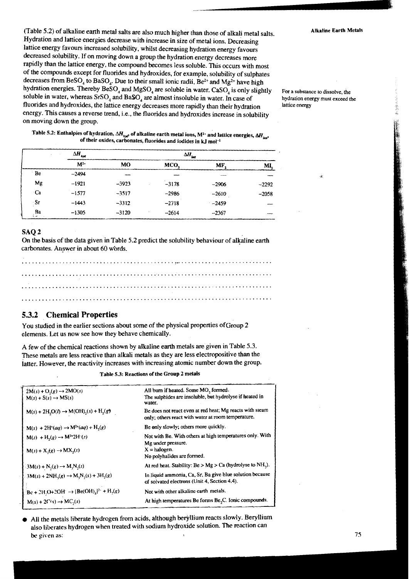(Table **5.2)** of alkaline earth metal salts are also much higher than those of alkali metal salts. Alkaline Earth Metals Hydration and lattice energies decrease with increase in size of metal ions. Decreasing lattice energy favours increased solubility, whilst decreasing hydration energy favours decreased solubility. If on moving down a group the hydration energy decreases more rapidly than the lattice energy, the compound becomes less soluble. This occurs with most of the compounds except for fluorides and hydroxides, for example, solubility of sulphates decreases from BeSO<sub>4</sub> to BaSO<sub>4</sub>. Due to their small ionic radii, Be<sup>2+</sup> and Mg<sup>2+</sup> have high<br>hydration energies. Thereby BeSO<sub>4</sub> and MgSO<sub>4</sub> are soluble in water. CaSO<sub>4</sub> is only slightly if yetation energies. Thereby  $BASO_4$  and  $MgSO_4$  are soluble in water. Casco<sub>4</sub> is only slightly For a substance to dissolve, the soluble in water, whereas SrSO<sub>4</sub> and BaSO<sub>4</sub> are almost insoluble in water. In case of hy fluorides and hydroxides, the lattice energy decreases more rapidly than their hydration energy. This causes a reverse trend, i.e., the fluorides and hydroxides increase in solubility on moving down the group.

**5.2: Enthalpies of hydration,**  $\Delta H_{\text{hyd}}$ **, of alkaline earth metal ions,**  $M^{2+}$  **and lattice energies,**  $\Delta H_{\text{low}}$ of their oxides, carbonates, fluorides and iodides in **kJ** mol-1

|          | $\Delta H_{\mathit{hyd}}$ |         | $\Delta H_{\rm int}$ |         |           |
|----------|---------------------------|---------|----------------------|---------|-----------|
|          | $M^{2+}$                  | MO      | MCO.                 | MF.     | <b>MI</b> |
| Be       | $-2494$                   |         |                      | ---     |           |
| Mg       | $-1921$                   | $-3923$ | $-3178$              | $-2906$ | $-2292$   |
| · Ca     | $-1577$                   | $-3517$ | $-2986$              | $-2610$ | $-2058$   |
| Sr       | $-1443$                   | $-3312$ | $-2718$              | $-2459$ |           |
| Ba<br>i. | $-1305$                   | $-3120$ | $-2614$              | $-2367$ |           |

#### SAQ 2

On the basis of the data given in Table 5.2 predict the solubility behaviour of alkaline earth carbonates. Answer in about 60 words.

### **5.3.2 Chemical Properties**

You studied in the earlier sections about some of the physical properties ofGroup 2 elements. Let us now see how they behave chemically.

A few of the chemical reactions shown by alkaline earth metals are given in Table 5.3. These metals are less reactive than alkali metals as they are less electropositive than the latter. However, the reactivity increases with increasing atomic number down the group.

Table 5.3: Reactions of the Group 2 metals

| All burn if heated. Some MO <sub>2</sub> formed.<br>The sulphides are insoluble, but hydrolyse if heated in<br>water. |
|-----------------------------------------------------------------------------------------------------------------------|
| Be does not react even at red heat; Mg reacts with steam<br>only; others react with water at room temperature.        |
| Be only slowly; others more quickly.                                                                                  |
| Not with Be. With others at high temperatures only. With<br>Mg under pressure.<br>$X =$ halogen.                      |
| No polyhalides are formed.                                                                                            |
| At red heat. Stability: $Be > Mg > Ca$ (hydrolyse to NH <sub>3</sub> ).                                               |
| In liquid ammonia, Ca, Sr, Ba give blue solution because<br>of solvated electrons (Unit 4, Section 4.4).              |
| Not with other alkaline carth metals.                                                                                 |
| At high temperatures Be forms Be <sub>2</sub> C. Ionic compounds.                                                     |
|                                                                                                                       |

All the metals liberate hydrogen from acids, although beryllium reacts slowly. Beryllium also liberates hydrogen when treated with sodium hydroxide solution. The reaction can **be given as:** 75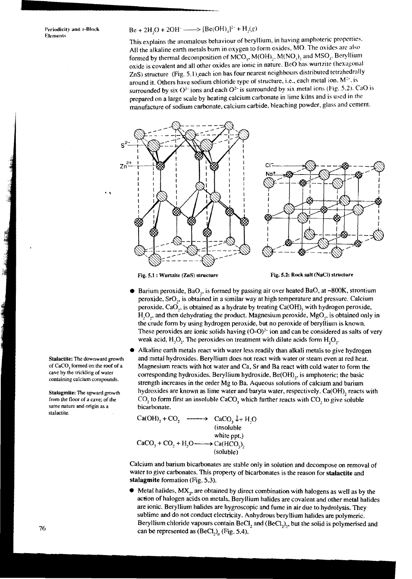### Periodicity and s-Block  $Be + 2H_2O + 2OH^ \longrightarrow$   $[Be(OH)_4]^{2-} + H_2(g)$

This explains the anomalous behaviour of beryllium, in having amphoteric properties. All the alkaline earth metals burn in oxygen to form oxides, MO. The oxides are also formed by thermal decomposition of MCO<sub>3</sub>, M(OH)<sub>2</sub>, M(NO<sub>3</sub>)<sub>2</sub>, and MSO<sub>3</sub>. Beryllium oxide is covalent and all other oxides are ionic in nature. Be0 has wunzite (hexagonal ZnS) structure (Fig. 5.1) each ion has four nearest neighbours distributed tetrahedrally around it. Others have sodium chloride type of structure, i.e., each metal ion,  $M^{2*}$ , is surrounded by six  $O^{2-}$  ions and each  $O^{2-}$  is surrounded by six metal ions (Fig. 5.2). CaO is prepared on a large scale by heating calcium carbonate in lime kilns and is used in the manufacture of sodium carbonate, calcium carbide, bleaching powder, glass and cement.



Fig. 5.1 : Wurtzite **(ZnS)** structure **Fig. 5.2: Rock** salt **(NaCI)** structure

- Barium peroxide, BaO,, is formed by passing air over heated BaO, at **-800K,** strontium peroxide, SrO,, is obtained in a similar way at high temperature and pressure. Calcium peroxide, CaO,, is obtained as a hydrate by treating Ca(OH), with hydrogen peroxide, H,O,, and then dehydrating the product. Magnesium peroxide, MgO,, is obtained only in the crude form by using hydrogen peroxide, but no peroxide of beryllium is known. These peroxides are ionic solids having  $(O-O)^{2}$  ion and can be considered as salts of very weak acid,  $H_1O_2$ . The peroxides on treatment with dilute acids form  $H_1O_2$ .
- Alkaline earth metals react with water less readily than alkali metals to give hydrogen and metal hydroxides. Beryllium does not react with water or steam even at red heat. Magnesium reacts with hot water and Ca, Sr and Ba react with cold water to form the corresponding hydroxides. Beryllium hydroxide, Be(OH)<sub>2</sub>, is amphoteric; the basic strength increases in the order Mg to Ba. Aqueous solutions of calcium and barium hydroxides are known as lime water and baryta water, respectively. Ca(OH), reacts with  $CO<sub>2</sub>$  to form first an insoluble CaCO<sub>3</sub> which further reacts with CO<sub>2</sub> to give soluble bicarbonate.

$$
Ca(OH)2 + CO2 \xrightarrow{\text{(insoluble)}} CaCO3 \downarrow + H2O
$$
  
\n(insoluble  
white opt.)  
\n
$$
CaCO3 + CO2 + H2O \xrightarrow{\text{(insoluble)}} Ca(HCO3)2
$$
  
\n(soluble)

Calcium and barium bicarbonates are stable only in solution and decompose on removal of water to give carbonates. This property of bicarbonates is the reason for **stalactite** and **stalagmite** formation (Fig. **5.3).** 

Metal halides, **MX,,** are obtained by direct combination with halogens as well as by the action of halogen acids on metals. Beryllium halides are covalent and other metal halides are ionic. Beryllium halides are hygroscopic and fume in air due to hydrolysis. They sublime and do not conduct electricity. Anhydrous beryllium halides are polymeric. Beryllium chloride vapours contain BeCI, and (BeCl,),, but the solid is polymerised and can be represented as  $(BeCl<sub>2</sub>)<sub>n</sub>$  (Fig. 5.4).

Stalactite: The downward growth of CaCO, formed on the roof of a cave by the trickling of water containing calcium compounds.

Stalagmite: The upward growth from the floor of a cave; of the same nature and origin as a stalactite.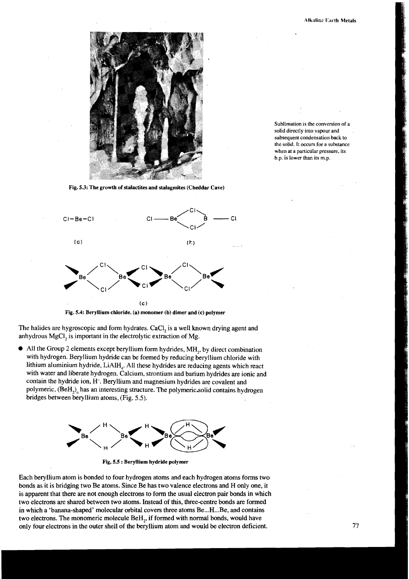

Sublimation is the conversion of a solid directly into vapour and subsequent condensation back to the solid. It occurs for a substance when at a particular pressure, its b.p. is lower than its m.p.

**Fig. 5.3: The growth of stalactites and stalagmites (Cheddar Cave)** 



**Fig. 5.4: Beryllium chloride. (a) monomer (b) dimer and (c) polymer** 

The halides are hygroscopic and form hydrates. CaCI, is a well known drying agent and anhydrous MgCI, is important in the electrolytic extraction of Mg.

 $\bullet$  All the Group 2 elements except beryllium form hydrides, MH<sub>2</sub>, by direct combination with hydrogen. Beryllium hydride can be formed by reducing beryllium chloride with lithium aluminium hydride, LiAlH,. All these hydrides are reducing agents which react with water and liberate hydrogen. Calcium, strontium and barium hydrides are ionic and contain the hydride ion, H-. Beryllium and magnesium hydrides are covalent and polymeric, (BeH,)<sub>n</sub> has an interesting structure. The polymeric solid contains hydrogen bridges between beryllium atoms, (Fig. 5.5).



**Fig. 5.5** : **Beryllium hydride polymer** 

Each beryllium atom is bonded to four hydrogen atoms and each hydrogen atoms forms two bonds as it is bridging two Be atoms. Since Be has two valence electrons and H only one, it is apparent that there are not enough electrons to form the usual electron pair bonds in which two electrons are shared between two atoms. Instead of this, three-centre bonds are formed in which a 'banana-shaped' molecular orbital covers three atoms Be...H...Be, and contains two electrons. The monomeric molecule BeH,, if formed with normal bonds, would have only four electrons in the outer shell of the beryllium atom and would be electron deficient.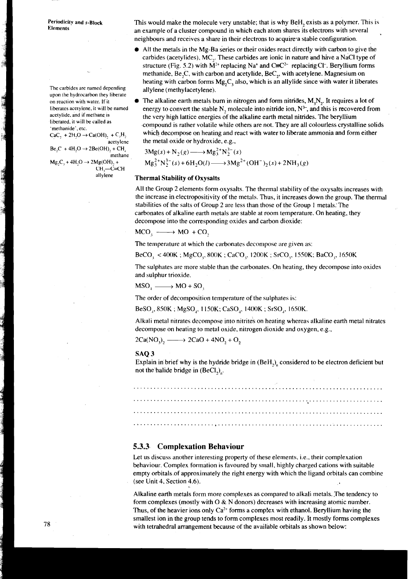Periodicity and s-Block Elements

The carbides are named depending upon the hydrocarbon they liberate on reaction with water. If it liberates acetylene. it will be named acetylide, and if methane is liberated, it will be called as 'methanide'. etc.

THE RESIDENCE OF THE LANDS

and the company of the company of the company of the company of the company of the company of the company of t

 $CaC_1 + 2H_2O \rightarrow Ca(OH)$ , + C<sub>2</sub>H<sub>2</sub> acetylene

 $Be, C + 4H, O \rightarrow 2Be(OH), + CH$ merhane

 $Mg, C, +4H, O \rightarrow 2Mg(OH), +$  $CH - C = CH$  This would make the molecule very unstable; that is why BeH, exists as a polymer. This is an example of a cluster compound in which each atom shares its electrons with several neighbours and receives a share in their electrons to acquire-a stabie configuration.

- All the metals in the Mg-Ba series or their oxides react directly with carbon to give the carbides (acetylides). MC,. These carbides are ionic in nature and have a NaCl type of structure (Fig. 5.2) with  $\overline{M}^{2+}$  replacing Na<sup>+</sup> and C=C<sup>2-</sup> replacing Cl<sup>-</sup>. Beryllium forms methanide, Be,C, with carbon and acetylide, BeC,, with acetylene. Magnesium on heating with carbon forms  $Mg_{2}C_{1}$  also, which is an allylide since with water it liberates allylene (methylacetylene).
- The alkaline earth metals burn in nitrogen and form nitrides,  $M<sub>x</sub>N<sub>y</sub>$ . It requires a lot of energy to convert the stable N, molecule into nitride ion,  $N^3$ , and this is recovered from the very high lattice energies df the alkaline earth metal nitrides. The beryllium compound is rather volatile while others are not. They are all colourless crystalline solids which decompose on heating and react with water to liberate ammonia and form either the metal oxide or hydroxide, e.g.,

$$
3Mg(s) + N_2(g) \longrightarrow Mg_3^{2+}N_2^{3-}(s)
$$
  

$$
Mg_3^{2+}N_2^{3-}(s) + 6H_2O(l) \longrightarrow 3Mg^{2+}(OH^-)_2(s) + 2NH_3(g)
$$

### allyiene **Thermal Stability of Oxysalts**

All the Group 2 elements form oxysalts. The thermal stability of the oxysalts increases with<br>the increase in electropositivity of the metals. Thus, it increases down the group. The therma<br>stabilities of the salts of Group the increase in electropositivity of the metals. Thus, it increases down the group. The thermal stabilities of the salts of Group 2 are less than those of the Group 1 metals. The carbonates of alkaline earth metals are stable at room temperature. On heating, they decompose into the corresponding oxides and carbon dioxide:

$$
MCO_1 \longrightarrow MO + CO_2
$$

The temperature at which the carbonates decompose are given as:

BeCO, < 400K ; MgCO,. XOOK ; CaCO,. 1200K ; SrCO,, 1550K; BaCO,, 1650K

The sulphates are more stable than the carbonates. On heating, they decompose into oxides and sulphur trioxide.

 $MSO<sub>1</sub> \longrightarrow MO + SO<sub>2</sub>$ 

The order of decomposition temperature of the sulphates is:

BeSO,, 850K ; MgSO,, 1 150K; CaSO,, 1400K ; SrSO,, 1650K.

Alkali metal nitrates decompose into nitrites on heating whereas alkaline earth metal nitrates decompose on heating to metal oxide, nitrogen dioxide and oxygen, e.g.,

 $2Ca(NO<sub>3</sub>)<sub>2</sub> \longrightarrow 2CaO + 4NO<sub>2</sub> + O<sub>2</sub>$ 

#### **SAQ 3**

Explain in brief why is the hydride bridge in  $(BeH<sub>2</sub>)<sub>n</sub>$  considered to be electron deficient but not the halide bridge in  $(BeCl<sub>2</sub>)$ .

### **5.3.3. Complexation Behaviour**

Let us discuss another interesting property of these elements. i.e., their complexation behaviour. Complex formation is favoured by small, highly charged cations with suitable empty orbitals of approximately the right energy with which the ligand orbitals can combine (see Unit 4. Section 4.6).

Alkaline earth metals form more complexes as compared to alkali metals. ,The tendency to form complexes (mostly with  $\overline{O} \& N$  donors) decreases with increasing atomic number. Thus, of the heavier ions only  $Ca^{2+}$  forms a complex with ethanol. Beryllium having the smallest ion in the group tends to form complexes most readily. It mostly forms complexes with tetrahedral arrangement because of the available orbitals as shown below: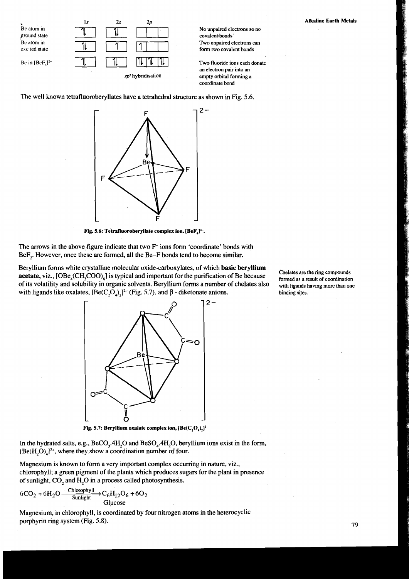

No unpaired electrons so no form two covalent bonds

an electron pair into an *sp*<sup>3</sup> hybridisation empty orbital forming a coordinate bond

The well known tetrafluoroberyllates have a tetrahedral structure as shown in Fig. 5.6.  $\Gamma$  **F**  $\Gamma$   $\Gamma$   $\Gamma$ 

 $2 \begin{bmatrix} \downarrow & \downarrow \\ \downarrow & \downarrow & \downarrow \end{bmatrix}$ 

Fig. 5.6: Tetrafluoroberyllate complex ion. [BeF<sub>4</sub>]<sup>2-</sup>.

The arrows in the above figure indicate that two F<sup>-</sup> ions form 'coordinate' bonds with BeF<sub>,</sub>. However, once these are formed, all the Be-F bonds tend to become similar.

Beryllium forms white crystalline molecular oxide-carboxylates, of which **basic beryllium**<br>
acetate, viz.,  $[OBe_4(CH_3COO)_6]$  is typical and important for the purification of Be because<br>
of its volatility and solubility in o of its volatility and solubility in organic solvents. Beryllium forms a number of chelates also with ligands like oxalates,  $[Be(C, O_4),]^{2-}$  (Fig. 5.7), and  $\beta$  - diketonate anions. binding sites.



**Fig. 5.7: Beryllium oxalate complex ion, [Be(C,O,),I2-** 

In the hydrated salts, e.g.,  $BeCO<sub>3</sub>$ .4H<sub>2</sub>O and  $BeSO<sub>4</sub>$ .4H<sub>2</sub>O, beryllium ions exist in the form,  $[Be(H, O)<sub>A</sub>]^{2+}$ , where they show a coordination number of four.

Magnesium is known to form a very important complex occurring in nature, viz., chlorophyll; a green pigment of the plants which produces sugars for the plant in presence of sunlight, CO, and H,O in a process called photosynthesis.

$$
6CO_2 + 6H_2O \xrightarrow{\text{Chlorophyll}} C_6H_{12}O_6 + 6O_2
$$
  
Glucose

Magnesium, in chlorophyll, is coordinated by four nitrogen atoms in the heterocyclic porphyrin ring system (Fig. 5.8).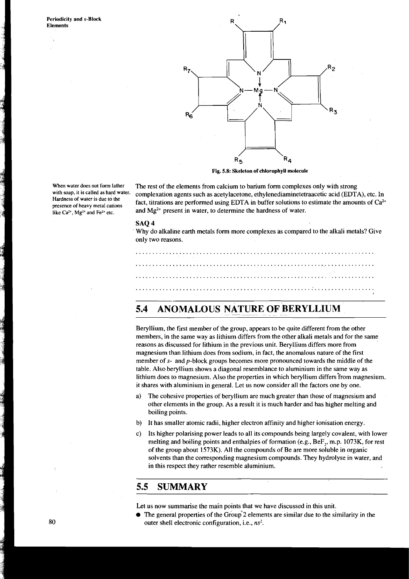a a familian a company



**Fig. 5.8: Skeleton of chlorophyll molecule** 

When water does not form lather **The rest of the elements from calcium to barium form complexes only with strong** with strong with soap, it is called as hard water. complexation agents such as accatulacetonal athylanediami **with it is as hard water.** complexation agents such as acety lacetone, ethylenediaminetetraacetic acid (EDTA), etc. In presence of heavy metal cations **fact**, titrations are performed using EDTA in buffer solutions to estimate the amounts of  $Ca^{2+}$  like  $Ca^{2+}$ ,  $Mg^{2+}$  and  $Fe^{2+}$  etc. and  $Mg^{2+}$  present in water, to determine the ha and Mg<sup>2+</sup> present in water, to determine the hardness of water.

#### SAQ 4

Why do alkaline earth metals form more complexes as compared to the alkali metals? Give only two reasons.

### **5.4 ANOMALOUS NATURE OF BERYLLIUM**

Beryllium, the first member of the group, appears to be quite different from the other members, in the same way as lithium differs from the other alkali metals and for the same reasons as discussed for lithium in the previous unit. Beryllium differs more from magnesium than lithium does from sodium, in fact, the anomalous nature of the first member of s- and p-block groups becomes more pronounced towards the middle of the table. Also beryllium shows a diagonal resemblance to aluminium in the same way as lithium does to magnesium. Also the properties in which beryllium differs from magnesium. it shares with aluminium in general. Let us now consider all the factors one by one.

- a) The cohesive properties of beryllium are much greater than those of magnesium and other elements in the group. As a result it is much harder and has higher melting and boiling points.
- b) It has smaller atomic radii, higher electron affinity and higher ionisation energy.
- c) Its higher polarising power leads to all its compounds being largely covalent, with lower melting and boiling points and enthalpies of formation (e.g., BeF,, m.p. 1073K, for rest of the group about 1573K). All the compounds of Be are more soluble in organic solvents than the corresponding magnesium compounds. They hydrolyse in water, and in this respect they rather resemble aluminium.

### **5.5 SUMMARY**

Let us now summarise the main points that we have discussed in this unit.

 $\bullet$  The general properties of the Group 2 elements are similar due to the similarity in the outer shell electronic configuration, i.e., **ns2.** 

**Hardness of water is due to the**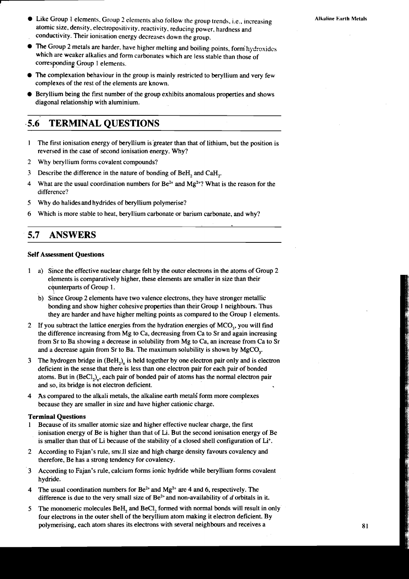- Like Group 1 elements, Group 2 elements also follow the group trends, i.e., increasing atomic size, density, electropositivity, reactivity. reducing power, hardness and conductivity. Their ionisation energy decreases down the group.
- The Group 2 metals are harder, have higher melting and boiling points, form hydroxides which are weaker alkalies and form carbonates which are less stable than those of corresponding Group 1 elements.
- The complexation behaviour in the group is mainly restricted to beryllium and very few complexes of the rest of the elements are known.
- Beryllium being the first number of the group exhibits anomalous properties and shows diagonal relationship with aluminium.

### **a5.6 TERMINAL QUESTIONS**

- 1 The first ionisation energy of beryllium is greater than that of lithium. but the position is reversed in the case of second ionisation energy. Why?
- 2 Why beryllium forms covalent compounds?
- **3** Describe the difference in the nature of bonding of BeH, and CaH,.
- 4 What are the usual coordination numbers for  $Be^{2+}$  and  $Mg^{2+}$ ? What is the reason for the difference?
- **5** Why do halidesand hydrides of beryllium polymerise?
- 6 Which is more stable to heat, beryllium carbonate or barium carbonate, and why?

#### $5.7$ **ANSWERS**

#### **Self Assessment Questions**

- 1 **a)** Since the effective nuclear charge felt by the outcr electrons in the atoms of Group 2 elements is comparatively higher, these elements are smaller in size than their counterparts of Group 1.
	- b) since Group 2 elements have two valence electrons, they have stronger metallic bonding and show higher cohesive properties than their Group 1 neighbours. Thus they are harder and have higher melting points as compared to the Group 1 elements.
- 2 If you subtract the lattice energies from the hydration energies of MCO<sub>2</sub>, you will find the difference increasing from Mg to Ca, decreasing from Ca to Sr and again increasing from Sr to Ba showing a decrease in solubility from Mg to Ca, an increase from Ca to Sr and a decrease again from Sr to Ba. The maximum solubility is shown by MgCO,.
- 3 The hydrogen bridge in  $(BeH<sub>2</sub>)$ , is held together by one electron pair only and is electron deficient in the sense that there is less than one electron pair for each pair of bonded atoms. But in  $(BeCl<sub>2</sub>)<sub>n</sub>$ , each pair of bonded pair of atoms has the normal electron pair and so, its bridge is not electron deficient.
- 4 As compared to the alkali metals, the alkaline earth metali form more complexes because they are smaller in size and have higher cationic charge.

#### **Terminal Questions**

- 1 Because of its smaller atomic size and higher effective nuclear charge, the first ionisation energy of Be is higher than that of Li. But the second ionisation energy of Be is smaller than that of Li because of the stability of a closed shell configuration of Li+.
- 2 According to Fajan's rule, sm:.ll size and high charge density favours covalency and therefore, Be has a strong tendency for covalency.
- 3 According to Fajan's rule, calcium forms ionic hydride while beryllium forms covalent hydride.
- 4 The usual coordination numbers for Be<sup>2+</sup> and Mg<sup>2+</sup> are 4 and 6, respectively. The difference is due to the very small size of  $Be^{2+}$  and non-availability of d orbitals in it.
- 5 The monomeric molecules BeH, and BeCl, formed with normal bonds will result in only four electrons in the outer shell of the beryllium atom making it electron deficient. By polymerising, each atom shares its electrons with several neighbours and receives a